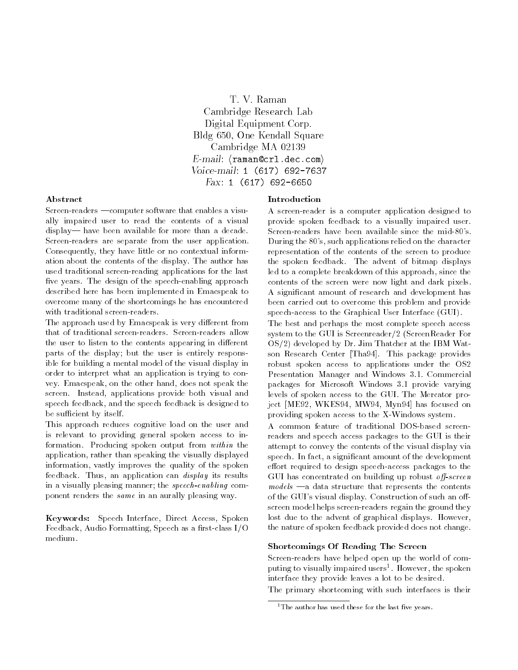T. V. Raman Cambridge Research Lab Digital Equipment Corp. Bldg 650, One Kendall Square Cambridge MA 02139  $E$ -mail:  $\langle$ raman@crl.dec.com $\rangle$ Voice-mail: 1 (617) 692-7637  $Fax: 1$  (617) 692-6650

#### Abstract

 $S$ creen-readers —computer software that enables a visually impaired user to read the contents of a visual display— have been available for more than a decade. Screen-readers are separate from the user application. Consequently, they have little or no contextual information about the contents of the display. The author has used traditional screen-reading applications for the last five years. The design of the speech-enabling approach described here has been implemented in Emacspeak to overcome many of the shortcomings he has encountered with traditional screen-readers.

The approach used by Emacspeak is very different from that of traditional screen-readers. Screen-readers allow the user to listen to the contents appearing in different parts of the display; but the user is entirely responsible for building a mental model of the visual display in order to interpret what an application is trying to convey. Emacspeak, on the other hand, does not speak the screen. Instead, applications provide both visual and speech feedback, and the speech feedback is designed to be sufficient by itself.

This approach reduces cognitive load on the user and is relevant to providing general spoken access to information. Producing spoken output from within the application, rather than speaking the visually displayed information, vastly improves the quality of the spoken feedback. Thus, an application can display its results in a visually pleasing manner; the speech-enabling component renders the same in an aurally pleasing way.

Keywords: Speech Interface, Direct Access, Spoken Feedback, Audio Formatting, Speech as a first-class  $I/O$ medium.

#### Introduction

A screen-reader is a computer application designed to provide spoken feedback to a visually impaired user. Screen-readers have been available since the mid-80's. During the 80's, such applications relied on the character representation of the contents of the screen to produce the spoken feedback. The advent of bitmap displays led to a complete breakdown of this approach, since the contents of the screen were now light and dark pixels. A signicant amount of research and development has been carried out to overcome this problem and provide speech-access to the Graphical User Interface (GUI).

The best and perhaps the most complete speech access system to the GUI is Screenreader/2 (ScreenReader For OS/2) developed by Dr. Jim Thatcher at the IBM Watson Research Center [Tha94]. This package provides robust spoken access to applications under the OS2 Presentation Manager and Windows 3.1. Commercial packages for Microsoft Windows 3.1 provide varying levels of spoken access to the GUI. The Mercator project [ME92, WKES94, MW94, Myn94] has focused on providing spoken access to the X-Windows system.

A common feature of traditional DOS-based screenreaders and speech access packages to the GUI is their attempt to convey the contents of the visual display via speech. In fact, a signicant amount of the development effort required to design speech-access packages to the GUI has concentrated on building up robust *off-screen*  $models$  —a data structure that represents the contents of the GUI's visual display. Construction of such an offscreen model helps screen-readers regain the ground they lost due to the advent of graphical displays. However, the nature of spoken feedback provided does not change.

#### Shortcomings Of Reading The Screen

Screen-readers have helped open up the world of computing to visually impaired users throwever, the spoken interface they provide leaves a lot to be desired.

The primary shortcoming with such interfaces is their

 $1$  The author has used these for the last five years.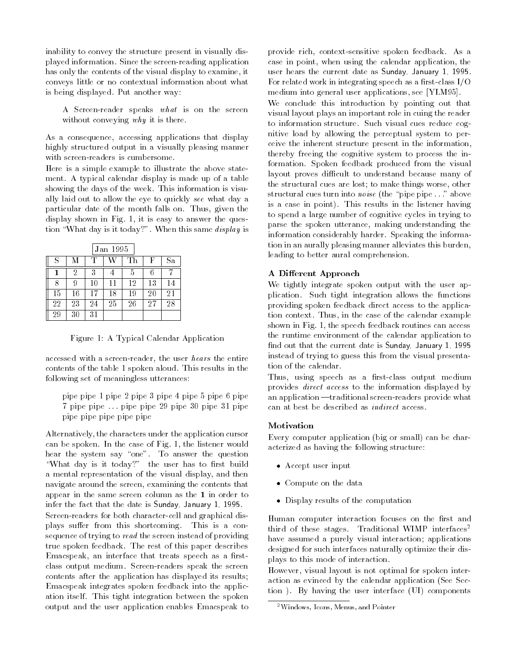inability to convey the structure present in visually displayed information. Since the screen-reading application has only the contents of the visual display to examine, it conveys little or no contextual information about what is being displayed. Put another way:

A Screen-reader speaks what is on the screen without conveying why it is there.

As a consequence, accessing applications that display highly structured output in a visually pleasing manner with screen-readers is cumbersome.

Here is a simple example to illustrate the above state ment. A typical calendar display is made up of a table showing the days of the week. This information is visually laid out to allow the eye to quickly see what day a particular date of the month falls on. Thus, given the display shown in Fig. 1, it is easy to answer the question "What day is it today?". When this same display is

| Jan 1995 |    |        |    |    |    |         |  |  |
|----------|----|--------|----|----|----|---------|--|--|
| S        | М  | T      |    | Th | F  | Sa      |  |  |
|          | 2  | 3      |    | 5  | 6  |         |  |  |
| 8        |    | $10\,$ |    | 12 | 13 | 14      |  |  |
| 15       | 16 | 17     | 18 | 19 | 20 | $^{21}$ |  |  |
| 22       | 23 | 24     | 25 | 26 | 27 | 28      |  |  |
| 29       | 30 | 31     |    |    |    |         |  |  |

Figure 1: A Typical Calendar Application

accessed with a screen-reader, the user hears the entire contents of the table 1 spoken aloud. This results in the following set of meaningless utterances:

pipe pipe 1 pipe 2 pipe 3 pipe 4 pipe 5 pipe 6 pipe 7 pipe pipe ::: pipe pipe 29 pipe 30 pipe 31 pipe pipe pipe pipe pipe pipe

Alternatively, the characters under the application cursor can be spoken. In the case of Fig. 1, the listener would hear the system say "one". To answer the question "What day is it today?" the user has to first build a mental representation of the visual display, and then navigate around the screen, examining the contents that appear in the same screen column as the 1 in order to infer the fact that the date is Sunday, January 1, 1995. Screen-readers for both character-cell and graphical displays suffer from this shortcoming. This is a consequence of trying to read the screen instead of providing true spoken feedback. The rest of this paper describes Emacspeak, an interface that treats speech as a firstclass output medium. Screen-readers speak the screen contents after the application has displayed its results; Emacspeak integrates spoken feedback into the application itself. This tight integration between the spoken output and the user application enables Emacspeak to

provide rich, context-sensitive spoken feedback. As a case in point, when using the calendar application, the user hears the current date as Sunday, January 1, 1995. For related work in integrating speech as a first-class  $I/O$ medium into general user applications, see [YLM95].

We conclude this introduction by pointing out that visual layout plays an important role in cuing the reader to information structure. Such visual cues reduce cognitive load by allowing the perceptual system to perceive the inherent structure present in the information, thereby freeing the cognitive system to process the information. Spoken feedback produced from the visual layout proves difficult to understand because many of the structural cues are lost; to make things worse, other structural cues turn into *noise* (the "pipe pipe  $\ldots$ " above is a case in point). This results in the listener having to spend a large number of cognitive cycles in trying to parse the spoken utterance, making understanding the information considerably harder. Speaking the information in an aurally pleasing manner alleviates this burden, leading to better aural comprehension.

## A Different Approach

We tightly integrate spoken output with the user application. Such tight integration allows the functions providing spoken feedback direct access to the application context. Thus, in the case of the calendar example shown in Fig. 1, the speech feedback routines can access the runtime environment of the calendar application to find out that the current date is Sunday, January 1, 1995 instead of trying to guess this from the visual presentation of the calendar.

Thus, using speech as a first-class output medium provides direct access to the information displayed by an application - traditional screen-readers provide what can at best be described as *indirect* access.

## Motivation

Every computer application (big or small) can be characterized as having the following structure:

- Accept user input
- Companies on the data on the data of the data of the data of the data of the data of the data of the data of t
- Display results of the computation

Human computer interaction focuses on the first and third of these stages. Traditional WIMP interfaces<sup>2</sup> have assumed a purely visual interaction; applications designed for such interfaces naturally optimize their displays to this mode of interaction.

However, visual layout is not optimal for spoken interaction as evinced by the calendar application (See Section ). By having the user interface (UI) components

<sup>2</sup>Windows, Icons, Menus, and Pointer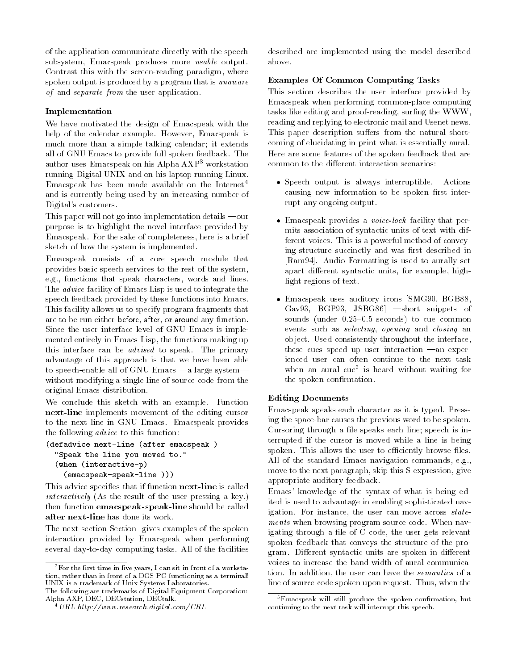of the application communicate directly with the speech subsystem, Emacspeak produces more usable output. Contrast this with the screen-reading paradigm, where spoken output is produced by a program that is unaware of and separate from the user application.

# Implementation

We have motivated the design of Emacspeak with the help of the calendar example. However, Emacspeak is much more than a simple talking calendar; it extends all of GNU Emacs to provide full spoken feedback. The author uses Emacspeak on his Alpha AXP<sup>3</sup> workstation running Digital UNIX and on his laptop running Linux. Emacspeak has been made available on the Internet<sup>4</sup> and is currently being used by an increasing number of Digital's customers.

This paper will not go into implementation details  $\sim$ our purpose is to highlight the novel interface provided by Emacspeak. For the sake of completeness, here is a brief sketch of how the system is implemented.

Emacspeak consists of a core speech module that provides basic speech services to the rest of the system, e.g., functions that speak characters, words and lines. The advice facility of Emacs Lisp is used to integrate the speech feedback provided by these functions into Emacs. This facility allows us to specify program fragments that are to be run either before, after, or around any function. Since the user interface level of GNU Emacs is imple mented entirely in Emacs Lisp, the functions making up this interface can be advised to speak. The primary advantage of this approach is that we have been able to speech-enable all of GNU Emacs  $-a$  large system without modifying a single line of source code from the original Emacs distribution.

We conclude this sketch with an example. Function next-line implements movement of the editing cursor to the next line in GNU Emacs. Emacspeak provides the following advice to this function:

```
(defadvice next-line (after emacspeak )
"Speak the line you moved to."
(when (interactive-p)
  (emacspeak-speak-line )))
```
This advice specifies that if function next-line is called interactively (As the result of the user pressing a key.) then function emacspeak-speak-line should be called after next-line has done its work.

The next section Section gives examples of the spoken interaction provided by Emacspeak when performing several day-to-day computing tasks. All of the facilities

The following are trademarks of Digital Equipment Corporation: Alpha AXP, DEC, DECstation, DECtalk.

described are implemented using the model described above.

#### Examples Of Common Computing Tasks

This section describes the user interface provided by Emacspeak when performing common-place computing tasks like editing and proof-reading, surfing the WWW, reading and replying to electronic mail and Usenet news. This paper description suffers from the natural shortcoming of elucidating in print what is essentially aural. Here are some features of the spoken feedback that are common to the different interaction scenarios:

- Speech output is always interruptible. Actions causing new information to be spoken first interrupt any ongoing output.
- Emacspeak provides a voice-lock facility that permits association of syntactic units of text with different voices. This is a powerful method of conveying structure succinctly and was first described in [Ram94]. Audio Formatting is used to aurally set apart different syntactic units, for example, highlight regions of text.
- Emacspeak uses auditory icons [SMG90, BGB88, Gav93, BGP93, JSBG86  $\rightarrow$ short snippets of sounds (under  $0.25{-}0.5$  seconds) to cue common events such as selecting, opening and closing an object. Used consistently throughout the interface, these cues speed up user interaction  $\text{---}$ an experienced user can often continue to the next task when an aural cue<sup>s</sup> is heard without waiting for the spoken confirmation.

## Editing Documents

Emacspeak speaks each character as it is typed. Pressing the space-bar causes the previous word to be spoken. Cursoring through a file speaks each line; speech is interrupted if the cursor is moved while a line is being spoken. This allows the user to efficiently browse files. All of the standard Emacs navigation commands, e.g., move to the next paragraph, skip this S-expression, give appropriate auditory feedback.

Emacs' knowledge of the syntax of what is being edited is used to advantage in enabling sophisticated navigation. For instance, the user can move across statements when browsing program source code. When navigating through a file of  $C$  code, the user gets relevant spoken feedback that conveys the structure of the program. Different syntactic units are spoken in different voices to increase the band-width of aural communication. In addition, the user can have the semantics of a line of source code spoken upon request. Thus, when the

 $3$  For the first time in five years, I can sit in front of a workstation, rather than in front of a DOS PC functioning as a terminal! UNIX is a trademark of Unix Systems Laboratories.

 $^4$  URL http://www.research.digital.com/CRL  $^{\, 4}$ 

 $5$ Emacspeak will still produce the spoken confirmation, but continuing to the next task will interrupt this speech.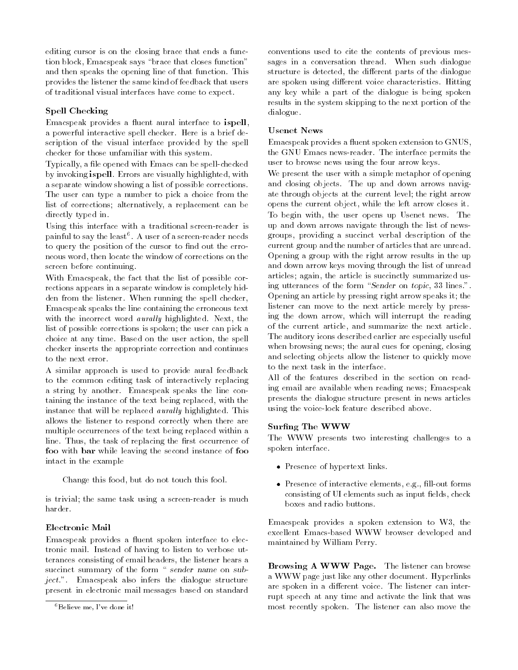editing cursor is on the closing brace that ends a function block, Emacspeak says "brace that closes function" and then speaks the opening line of that function. This provides the listener the same kind of feedback that users of traditional visual interfaces have come to expect.

## Spell Checking

Emacspeak provides a fluent aural interface to ispell. a powerful interactive spell checker. Here is a brief description of the visual interface provided by the spell checker for those unfamiliar with this system.

Typically, a file opened with Emacs can be spell-checked by invoking ispell. Errors are visually highlighted, with a separate window showing a list of possible corrections. The user can type a number to pick a choice from the list of corrections; alternatively, a replacement can be directly typed in.

Using this interface with a traditional screen-reader is painful to say the least . A user of a screen-reader needs that to query the position of the cursor to find out the erroneous word, then locate the window of corrections on the screen before continuing.

With Emacspeak, the fact that the list of possible corrections appears in a separate window is completely hidden from the listener. When running the spell checker, Emacspeak speaks the line containing the erroneous text with the incorrect word *aurally* highlighted. Next, the list of possible corrections is spoken; the user can pick a choice at any time. Based on the user action, the spell checker inserts the appropriate correction and continues to the next error.

A similar approach is used to provide aural feedback to the common editing task of interactively replacing a string by another. Emacspeak speaks the line containing the instance of the text being replaced, with the instance that will be replaced *aurally* highlighted. This allows the listener to respond correctly when there are multiple occurrences of the text being replaced within a line. Thus, the task of replacing the first occurrence of foo with bar while leaving the second instance of foo intact in the example

Change this food, but do not touch this fool.

is trivial; the same task using a screen-reader is much harder.

# Electronic Mail

Emacspeak provides a fluent spoken interface to electronic mail. Instead of having to listen to verbose utterances consisting of email headers, the listener hears a succinct summary of the form " sender name on subject.". Emacspeak also infers the dialogue structure present in electronic mail messages based on standard

conventions used to cite the contents of previous messages in a conversation thread. When such dialogue structure is detected, the different parts of the dialogue are spoken using different voice characteristics. Hitting any key while a part of the dialogue is being spoken results in the system skipping to the next portion of the dialogue.

## Usenet News

Emacspeak provides a fluent spoken extension to GNUS, the GNU Emacs news-reader. The interface permits the user to browse news using the four arrow keys.

We present the user with a simple metaphor of opening and closing objects. The up and down arrows navigate through objects at the current level; the right arrow opens the current object, while the left arrow closes it. To begin with, the user opens up Usenet news. The up and down arrows navigate through the list of newsgroups, providing a succinct verbal description of the current group and the number of articles that are unread. Opening a group with the right arrow results in the up and down arrow keys moving through the list of unread articles; again, the article is succinctly summarized using utterances of the form "Sender on topic, 33 lines.". Opening an article by pressing right arrow speaks it; the listener can move to the next article merely by pressing the down arrow, which will interrupt the reading of the current article, and summarize the next article. The auditory icons described earlier are especially useful when browsing news; the aural cues for opening, closing and selecting objects allow the listener to quickly move to the next task in the interface.

All of the features described in the section on reading email are available when reading news; Emacspeak presents the dialogue structure present in news articles using the voice-lock feature described above.

## Surfing The WWW

The WWW presents two interesting challenges to a spoken interface.

- Presence of hypertext links.
- Presence of interactive elements, e.g., ll-out forms consisting of UI elements such as input fields, check boxes and radio buttons.

Emacspeak provides a spoken extension to W3, the excellent Emacs-based WWW browser developed and maintained by William Perry.

Browsing A WWW Page. The listener can browse a WWW page just like any other document. Hyperlinks are spoken in a different voice. The listener can interrupt speech at any time and activate the link that was most recently spoken. The listener can also move the

<sup>&</sup>lt;sup>6</sup>Believe me, I've done it!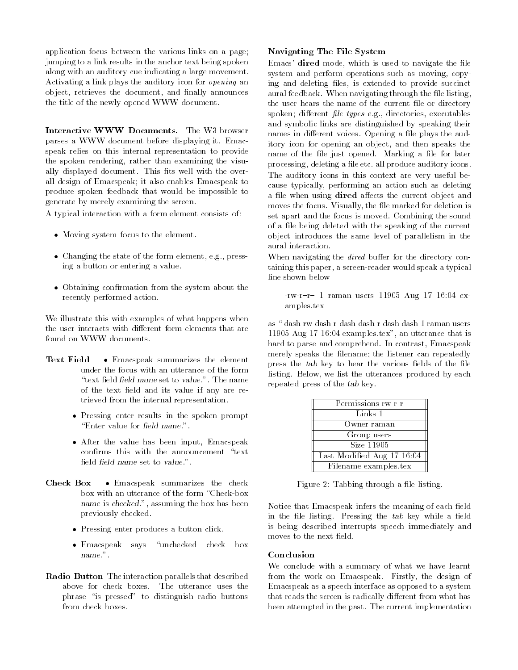application focus between the various links on a page; jumping to a link results in the anchor text being spoken along with an auditory cue indicating a large movement. Activating a link plays the auditory icon for opening an object, retrieves the document, and finally announces the title of the newly opened WWW document.

Interactive WWW Documents. The W3 browser parses a WWW document before displaying it. Emacspeak relies on this internal representation to provide the spoken rendering, rather than examining the visually displayed document. This fits well with the overall design of Emacspeak; it also enables Emacspeak to produce spoken feedback that would be impossible to generate by merely examining the screen.

A typical interaction with a form element consists of:

- Moving system focus to the element.
- Changing the state of the form element, e.g., pressing a button or entering a value.
- Obtaining conrmation from the system about the recently performed action.

We illustrate this with examples of what happens when the user interacts with different form elements that are

- Text Field Emacspeak summarizes the element under the focus with an utterance of the form under the focus with an utterance of the focus with an utterance of the form of the form of the form of the fo "text field field name set to value.". The name of the text field and its value if any are retrieved from the internal representation.
	- Pressing enter results in the spoken prompt "Enter value for field name.".
	- After the value has been input, Emacspeak confirms this with the announcement "text field field name set to value.".
- Check Box  $\bullet$  Emacspeak summarizes the check box with an utterance of the form \Check-box name is checked.", assuming the box has been previously checked.
	- Pressing enter produces a button click.
	- $\bullet$  Emacspeak says "unchecked check box name.".
- Radio Button The interaction parallels that described above for check boxes. The utterance uses the phrase "is pressed" to distinguish radio buttons from check boxes.

#### Navigating The File System

Emacs' dired mode, which is used to navigate the file system and perform operations such as moving, copying and deleting files, is extended to provide succinct aural feedback. When navigating through the file listing, the user hears the name of the current file or directory spoken; different *file types* e.g., directories, executables and symbolic links are distinguished by speaking their names in different voices. Opening a file plays the auditory icon for opening an object, and then speaks the name of the file just opened. Marking a file for later processing, deleting a file etc. all produce auditory icons. The auditory icons in this context are very useful because typically, performing an action such as deleting a file when using dired affects the current object and moves the focus. Visually, the file marked for deletion is set apart and the focus is moved. Combining the sound of a file being deleted with the speaking of the current object introduces the same level of parallelism in the aural interaction.

When navigating the *dired* buffer for the directory containing this paper, a screen-reader would speak a typical line shown below

 $-**r**-**r**-**r**$  - 1 raman users 11905 Aug 17 16:04 examples.tex

as \ dash rw dash r dash dash r dash dash 1 raman users 11905 Aug 17 16:04 examples.tex", an utterance that is hard to parse and comprehend. In contrast, Emacspeak merely speaks the filename; the listener can repeatedly press the tab key to hear the various fields of the file listing. Below, we list the utterances produced by each repeated press of the tab key.

| Permissions rw r r         |  |
|----------------------------|--|
| Links 1                    |  |
| Owner raman                |  |
| Group users                |  |
| Size 11905                 |  |
| Last Modified Aug 17 16:04 |  |
| Filename examples.tex      |  |

Figure 2: Tabbing through a file listing.

Notice that Emacspeak infers the meaning of each field in the file listing. Pressing the tab key while a field is being described interrupts speech immediately and moves to the next field.

#### Conclusion

We conclude with a summary of what we have learnt from the work on Emacspeak. Firstly, the design of Emacspeak as a speech interface as opposed to a system that reads the screen is radically different from what has been attempted in the past. The current implementation